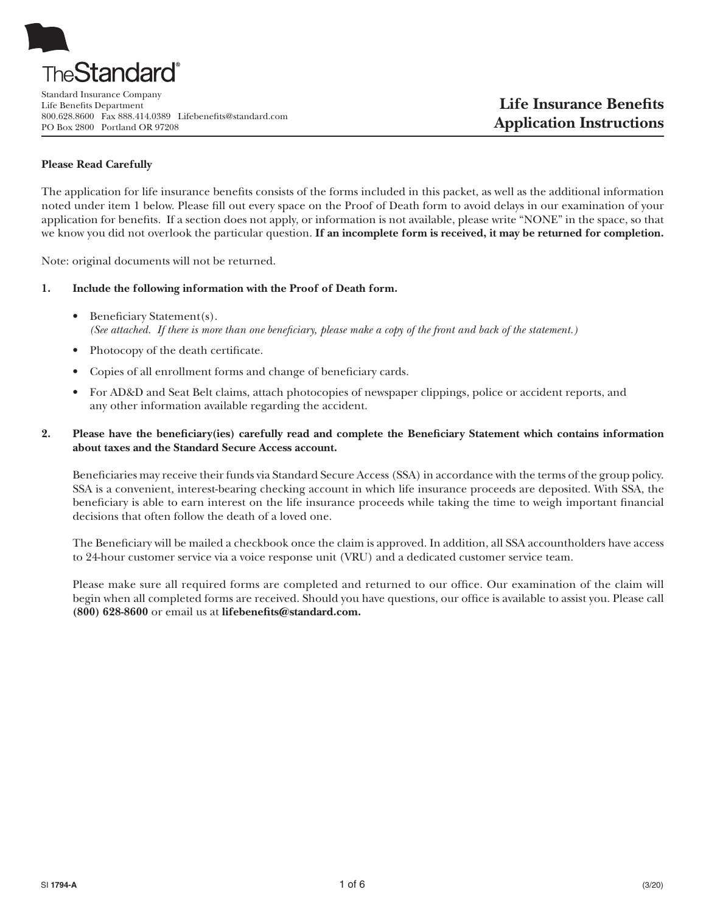

Standard Insurance Company Life Benefits Department 800.628.8600 Fax 888.414.0389 Lifebenefits@standard.com PO Box 2800 Portland OR 97208

### **Please Read Carefully**

The application for life insurance benefits consists of the forms included in this packet, as well as the additional information noted under item 1 below. Please fill out every space on the Proof of Death form to avoid delays in our examination of your application for benefits. If a section does not apply, or information is not available, please write "NONE" in the space, so that we know you did not overlook the particular question. **If an incomplete form is received, it may be returned for completion.**

Note: original documents will not be returned.

- **1. Include the following information with the Proof of Death form.**
	- Beneficiary Statement(s). *(See attached. If there is more than one beneficiary, please make a copy of the front and back of the statement.)*
	- Photocopy of the death certificate.
	- Copies of all enrollment forms and change of beneficiary cards.
	- � For AD&D and Seat Belt claims, attach photocopies of newspaper clippings, police or accident reports, and any other information available regarding the accident.

## **2. Please have the beneficiary(ies) carefully read and complete the Beneficiary Statement which contains information about taxes and the Standard Secure Access account.**

Beneficiaries may receive their funds via Standard Secure Access (SSA) in accordance with the terms of the group policy. SSA is a convenient, interest-bearing checking account in which life insurance proceeds are deposited. With SSA, the beneficiary is able to earn interest on the life insurance proceeds while taking the time to weigh important financial decisions that often follow the death of a loved one.

The Beneficiary will be mailed a checkbook once the claim is approved. In addition, all SSA accountholders have access to 24-hour customer service via a voice response unit (VRU) and a dedicated customer service team.

Please make sure all required forms are completed and returned to our office. Our examination of the claim will begin when all completed forms are received. Should you have questions, our office is available to assist you. Please call **(800) 628-8600** or email us at **lifebenefits@standard.com.**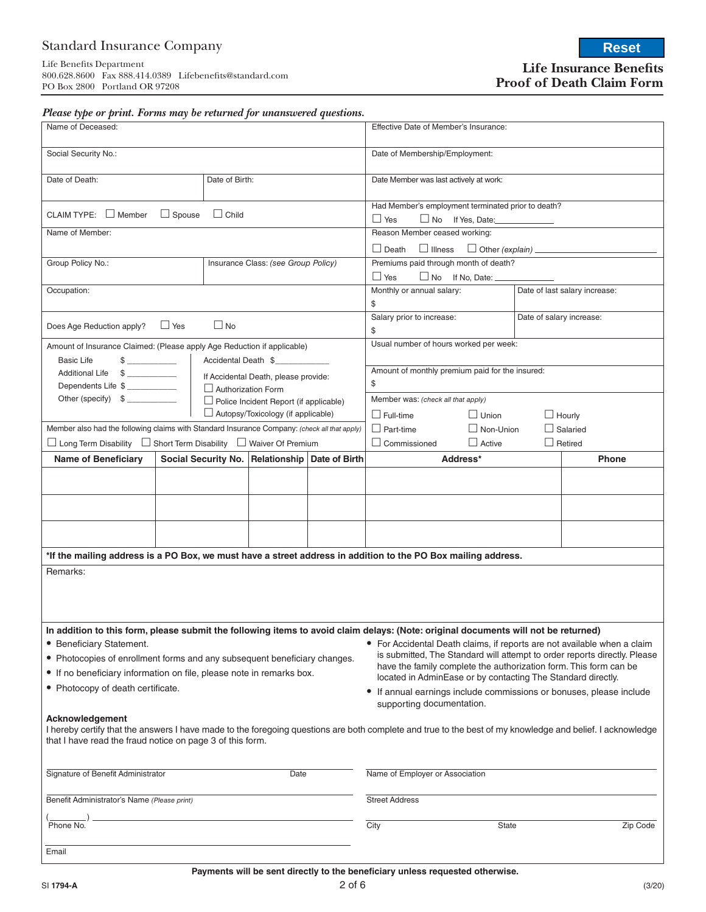# Standard Insurance Company

Life Benefits Department 800.628.8600 Fax 888.414.0389 Lifebenefits@standard.com PO Box 2800 Portland OR 97208

**Life Insurance Benefits Proof of Death Claim Form**

**Reset**

|  | Please type or print. Forms may be returned for unanswered questions. |  |  |  |  |
|--|-----------------------------------------------------------------------|--|--|--|--|
|--|-----------------------------------------------------------------------|--|--|--|--|

| ◞<br>Name of Deceased:                                                                                                                                                                                                                    |                |                           |                                                    | Effective Date of Member's Insurance:                                                            |                                                                                                                                                                                                                                                                                            |          |                                                                               |  |                |  |
|-------------------------------------------------------------------------------------------------------------------------------------------------------------------------------------------------------------------------------------------|----------------|---------------------------|----------------------------------------------------|--------------------------------------------------------------------------------------------------|--------------------------------------------------------------------------------------------------------------------------------------------------------------------------------------------------------------------------------------------------------------------------------------------|----------|-------------------------------------------------------------------------------|--|----------------|--|
| Social Security No.:                                                                                                                                                                                                                      |                |                           |                                                    | Date of Membership/Employment:                                                                   |                                                                                                                                                                                                                                                                                            |          |                                                                               |  |                |  |
| Date of Death:                                                                                                                                                                                                                            | Date of Birth: |                           |                                                    | Date Member was last actively at work:                                                           |                                                                                                                                                                                                                                                                                            |          |                                                                               |  |                |  |
| CLAIM TYPE: $\Box$ Member                                                                                                                                                                                                                 | $\Box$ Spouse  | $\Box$ Child              |                                                    |                                                                                                  | Had Member's employment terminated prior to death?<br>$\Box$ Yes                                                                                                                                                                                                                           |          | No If Yes, Date:                                                              |  |                |  |
| Name of Member:                                                                                                                                                                                                                           |                |                           |                                                    |                                                                                                  | Reason Member ceased working:                                                                                                                                                                                                                                                              |          |                                                                               |  |                |  |
|                                                                                                                                                                                                                                           |                |                           |                                                    |                                                                                                  | $\Box$ Death $\Box$ Illness $\Box$ Other (explain) ______                                                                                                                                                                                                                                  |          |                                                                               |  |                |  |
| Group Policy No.:                                                                                                                                                                                                                         |                |                           | Insurance Class: (see Group Policy)                |                                                                                                  | Premiums paid through month of death?                                                                                                                                                                                                                                                      |          |                                                                               |  |                |  |
|                                                                                                                                                                                                                                           |                |                           |                                                    |                                                                                                  | $\Box$ Yes<br>$\Box$ No If No, Date: $\Box$                                                                                                                                                                                                                                                |          |                                                                               |  |                |  |
| Occupation:                                                                                                                                                                                                                               |                |                           |                                                    |                                                                                                  | Monthly or annual salary:<br>Date of last salary increase:<br>\$                                                                                                                                                                                                                           |          |                                                                               |  |                |  |
| Does Age Reduction apply?                                                                                                                                                                                                                 | $\Box$ Yes     | $\Box$ No                 |                                                    |                                                                                                  | Salary prior to increase:<br>Date of salary increase:<br>\$                                                                                                                                                                                                                                |          |                                                                               |  |                |  |
| Amount of Insurance Claimed: (Please apply Age Reduction if applicable)                                                                                                                                                                   |                |                           |                                                    |                                                                                                  | Usual number of hours worked per week:                                                                                                                                                                                                                                                     |          |                                                                               |  |                |  |
| <b>Basic Life</b>                                                                                                                                                                                                                         |                | Accidental Death \$       |                                                    |                                                                                                  |                                                                                                                                                                                                                                                                                            |          |                                                                               |  |                |  |
| <b>Additional Life</b><br>$\frac{1}{2}$                                                                                                                                                                                                   |                |                           | If Accidental Death, please provide:               |                                                                                                  | Amount of monthly premium paid for the insured:                                                                                                                                                                                                                                            |          |                                                                               |  |                |  |
| Dependents Life \$                                                                                                                                                                                                                        |                | $\Box$ Authorization Form |                                                    |                                                                                                  | \$                                                                                                                                                                                                                                                                                         |          |                                                                               |  |                |  |
|                                                                                                                                                                                                                                           |                |                           | $\Box$ Police Incident Report (if applicable)      |                                                                                                  | Member was: (check all that apply)                                                                                                                                                                                                                                                         |          |                                                                               |  |                |  |
|                                                                                                                                                                                                                                           |                |                           | $\Box$ Autopsy/Toxicology (if applicable)          |                                                                                                  | $\Box$ Full-time                                                                                                                                                                                                                                                                           |          | $\Box$ Union                                                                  |  | $\Box$ Hourly  |  |
| Member also had the following claims with Standard Insurance Company: (check all that apply)                                                                                                                                              |                |                           |                                                    |                                                                                                  | $\Box$ Part-time<br>$\Box$ Non-Union<br>$\Box$ Salaried                                                                                                                                                                                                                                    |          |                                                                               |  |                |  |
| $\Box$ Long Term Disability $\Box$ Short Term Disability $\Box$ Waiver Of Premium                                                                                                                                                         |                |                           |                                                    |                                                                                                  | $\Box$ Commissioned                                                                                                                                                                                                                                                                        |          | $\Box$ Active                                                                 |  | $\Box$ Retired |  |
| <b>Name of Beneficiary</b>                                                                                                                                                                                                                |                |                           | Social Security No.   Relationship   Date of Birth |                                                                                                  |                                                                                                                                                                                                                                                                                            | Address* |                                                                               |  | <b>Phone</b>   |  |
|                                                                                                                                                                                                                                           |                |                           |                                                    |                                                                                                  |                                                                                                                                                                                                                                                                                            |          |                                                                               |  |                |  |
|                                                                                                                                                                                                                                           |                |                           |                                                    |                                                                                                  |                                                                                                                                                                                                                                                                                            |          |                                                                               |  |                |  |
|                                                                                                                                                                                                                                           |                |                           |                                                    |                                                                                                  |                                                                                                                                                                                                                                                                                            |          |                                                                               |  |                |  |
| *If the mailing address is a PO Box, we must have a street address in addition to the PO Box mailing address.                                                                                                                             |                |                           |                                                    |                                                                                                  |                                                                                                                                                                                                                                                                                            |          |                                                                               |  |                |  |
| Remarks:                                                                                                                                                                                                                                  |                |                           |                                                    |                                                                                                  |                                                                                                                                                                                                                                                                                            |          |                                                                               |  |                |  |
|                                                                                                                                                                                                                                           |                |                           |                                                    |                                                                                                  |                                                                                                                                                                                                                                                                                            |          |                                                                               |  |                |  |
| In addition to this form, please submit the following items to avoid claim delays: (Note: original documents will not be returned)                                                                                                        |                |                           |                                                    |                                                                                                  |                                                                                                                                                                                                                                                                                            |          |                                                                               |  |                |  |
| • Beneficiary Statement.<br>• Photocopies of enrollment forms and any subsequent beneficiary changes.<br>• If no beneficiary information on file, please note in remarks box.                                                             |                |                           |                                                    |                                                                                                  | • For Accidental Death claims, if reports are not available when a claim<br>is submitted, The Standard will attempt to order reports directly. Please<br>have the family complete the authorization form. This form can be<br>located in AdminEase or by contacting The Standard directly. |          |                                                                               |  |                |  |
| • Photocopy of death certificate.                                                                                                                                                                                                         |                |                           |                                                    | • If annual earnings include commissions or bonuses, please include<br>supporting documentation. |                                                                                                                                                                                                                                                                                            |          |                                                                               |  |                |  |
| Acknowledgement<br>I hereby certify that the answers I have made to the foregoing questions are both complete and true to the best of my knowledge and belief. I acknowledge<br>that I have read the fraud notice on page 3 of this form. |                |                           |                                                    |                                                                                                  |                                                                                                                                                                                                                                                                                            |          |                                                                               |  |                |  |
| Signature of Benefit Administrator                                                                                                                                                                                                        |                |                           | Date                                               |                                                                                                  | Name of Employer or Association                                                                                                                                                                                                                                                            |          |                                                                               |  |                |  |
| Benefit Administrator's Name (Please print)                                                                                                                                                                                               |                |                           | <b>Street Address</b>                              |                                                                                                  |                                                                                                                                                                                                                                                                                            |          |                                                                               |  |                |  |
| Phone No.                                                                                                                                                                                                                                 |                |                           | City                                               |                                                                                                  | State                                                                                                                                                                                                                                                                                      |          | Zip Code                                                                      |  |                |  |
| Email                                                                                                                                                                                                                                     |                |                           |                                                    |                                                                                                  |                                                                                                                                                                                                                                                                                            |          |                                                                               |  |                |  |
|                                                                                                                                                                                                                                           |                |                           |                                                    |                                                                                                  |                                                                                                                                                                                                                                                                                            |          | Payments will be sent directly to the beneficiary unless requested otherwise. |  |                |  |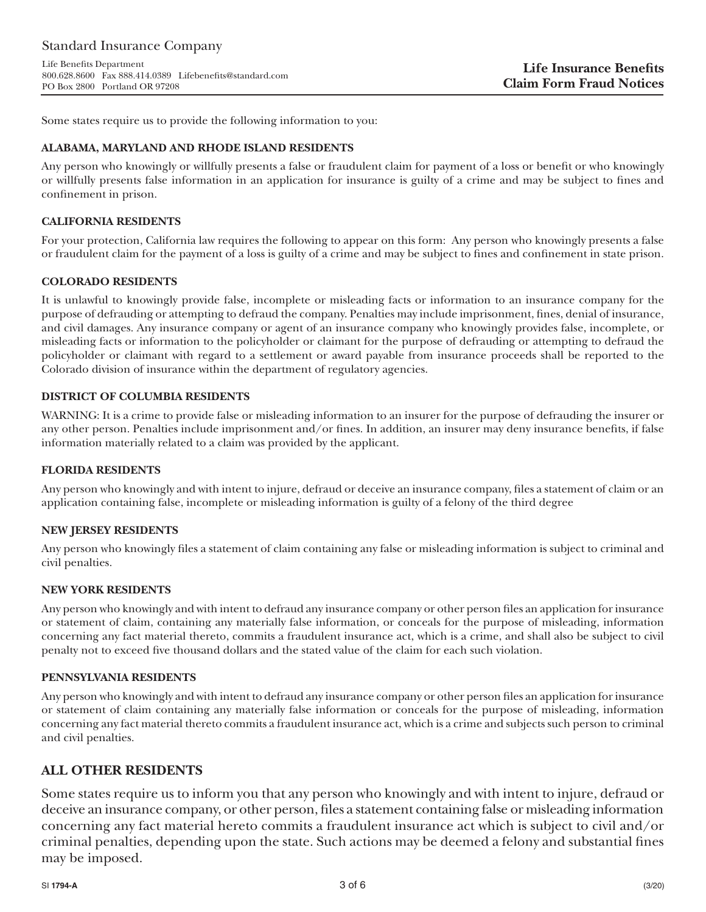# Standard Insurance Company

Life Benefits Department 800.628.8600 Fax 888.414.0389 Lifebenefits@standard.com PO Box 2800 Portland OR 97208

Some states require us to provide the following information to you:

## **ALABAMA, MARYLAND AND RHODE ISLAND RESIDENTS**

Any person who knowingly or willfully presents a false or fraudulent claim for payment of a loss or benefit or who knowingly or willfully presents false information in an application for insurance is guilty of a crime and may be subject to fines and confinement in prison.

## **CALIFORNIA RESIDENTS**

For your protection, California law requires the following to appear on this form: Any person who knowingly presents a false or fraudulent claim for the payment of a loss is guilty of a crime and may be subject to fines and confinement in state prison.

## **COLORADO RESIDENTS**

It is unlawful to knowingly provide false, incomplete or misleading facts or information to an insurance company for the purpose of defrauding or attempting to defraud the company. Penalties may include imprisonment, fines, denial of insurance, and civil damages. Any insurance company or agent of an insurance company who knowingly provides false, incomplete, or misleading facts or information to the policyholder or claimant for the purpose of defrauding or attempting to defraud the policyholder or claimant with regard to a settlement or award payable from insurance proceeds shall be reported to the Colorado division of insurance within the department of regulatory agencies.

## **DISTRICT OF COLUMBIA RESIDENTS**

WARNING: It is a crime to provide false or misleading information to an insurer for the purpose of defrauding the insurer or any other person. Penalties include imprisonment and/or fines. In addition, an insurer may deny insurance benefits, if false information materially related to a claim was provided by the applicant.

## **FLORIDA RESIDENTS**

Any person who knowingly and with intent to injure, defraud or deceive an insurance company, files a statement of claim or an application containing false, incomplete or misleading information is guilty of a felony of the third degree

## **NEW JERSEY RESIDENTS**

Any person who knowingly files a statement of claim containing any false or misleading information is subject to criminal and civil penalties.

## **NEW YORK RESIDENTS**

Any person who knowingly and with intent to defraud any insurance company or other person files an application for insurance or statement of claim, containing any materially false information, or conceals for the purpose of misleading, information concerning any fact material thereto, commits a fraudulent insurance act, which is a crime, and shall also be subject to civil penalty not to exceed five thousand dollars and the stated value of the claim for each such violation.

## **PENNSYLVANIA RESIDENTS**

Any person who knowingly and with intent to defraud any insurance company or other person files an application for insurance or statement of claim containing any materially false information or conceals for the purpose of misleading, information concerning any fact material thereto commits a fraudulent insurance act, which is a crime and subjects such person to criminal and civil penalties.

## **ALL OTHER RESIDENTS**

Some states require us to inform you that any person who knowingly and with intent to injure, defraud or deceive an insurance company, or other person, files a statement containing false or misleading information concerning any fact material hereto commits a fraudulent insurance act which is subject to civil and/or criminal penalties, depending upon the state. Such actions may be deemed a felony and substantial fines may be imposed.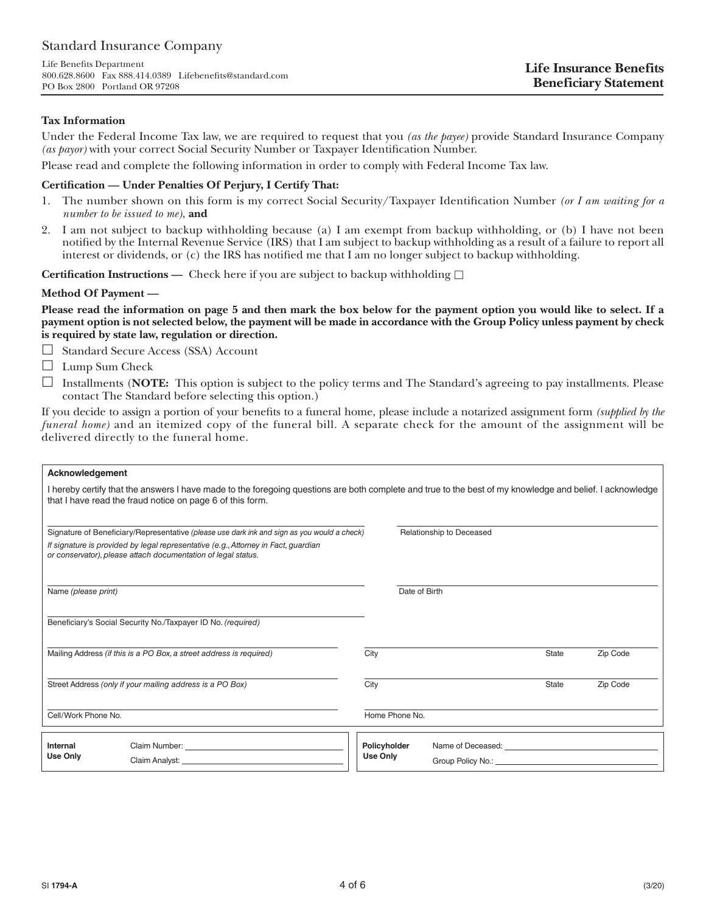Life Benefits Department 800.628.8600 Fax 888.414.0389 Lifebenefits@standard.com PO Box 2800 Portland OR 97208

#### **Tax Information**

Under the Federal Income Tax law, we are required to request that you *(as the payee)* provide Standard Insurance Company *(as payor)* with your correct Social Security Number or Taxpayer Identification Number.

Please read and complete the following information in order to comply with Federal Income Tax law.

#### **Certification — Under Penalties Of Perjury, I Certify That:**

- 1. The number shown on this form is my correct Social Security/Taxpayer Identification Number *(or I am waiting for a number to be issued to me)*, **and**
- 2. I am not subject to backup withholding because (a) I am exempt from backup withholding, or (b) I have not been notified by the Internal Revenue Service (IRS) that I am subject to backup withholding as a result of a failure to report all interest or dividends, or (c) the IRS has notified me that I am no longer subject to backup withholding.

**Certification Instructions —** Check here if you are subject to backup withholding  $\Box$ 

#### **Method Of Payment —**

**Please read the information on page 5 and then mark the box below for the payment option you would like to select. If a payment option is not selected below, the payment will be made in accordance with the Group Policy unless payment by check is required by state law, regulation or direction.** 

- Standard Secure Access (SSA) Account
- □ Lump Sum Check
- $\Box$  Installments (**NOTE:** This option is subject to the policy terms and The Standard's agreeing to pay installments. Please contact The Standard before selecting this option.)

If you decide to assign a portion of your benefits to a funeral home, please include a notarized assignment form *(supplied by the funeral home*) and an itemized copy of the funeral bill. A separate check for the amount of the assignment will be delivered directly to the funeral home.

#### **Acknowledgement**

| I hereby certify that the answers I have made to the foregoing questions are both complete and true to the best of my knowledge and belief. I acknowledge<br>that I have read the fraud notice on page 6 of this form. |                                                                                             |                |                                                       |              |          |  |  |
|------------------------------------------------------------------------------------------------------------------------------------------------------------------------------------------------------------------------|---------------------------------------------------------------------------------------------|----------------|-------------------------------------------------------|--------------|----------|--|--|
|                                                                                                                                                                                                                        | Signature of Beneficiary/Representative (please use dark ink and sign as you would a check) |                | Relationship to Deceased                              |              |          |  |  |
| If signature is provided by legal representative (e.g., Attorney in Fact, guardian<br>or conservator), please attach documentation of legal status.                                                                    |                                                                                             |                |                                                       |              |          |  |  |
| Name (please print)                                                                                                                                                                                                    |                                                                                             |                | Date of Birth                                         |              |          |  |  |
|                                                                                                                                                                                                                        | Beneficiary's Social Security No./Taxpayer ID No. (required)                                |                |                                                       |              |          |  |  |
| Mailing Address (if this is a PO Box, a street address is required)                                                                                                                                                    |                                                                                             | City           |                                                       | <b>State</b> | Zip Code |  |  |
| Street Address (only if your mailing address is a PO Box)                                                                                                                                                              |                                                                                             | City           |                                                       | <b>State</b> | Zip Code |  |  |
| Cell/Work Phone No.                                                                                                                                                                                                    |                                                                                             | Home Phone No. |                                                       |              |          |  |  |
| Internal<br><b>Use Only</b>                                                                                                                                                                                            |                                                                                             | Policyholder   | Name of Deceased: University of American Section 2014 |              |          |  |  |
|                                                                                                                                                                                                                        |                                                                                             | Use Only       |                                                       |              |          |  |  |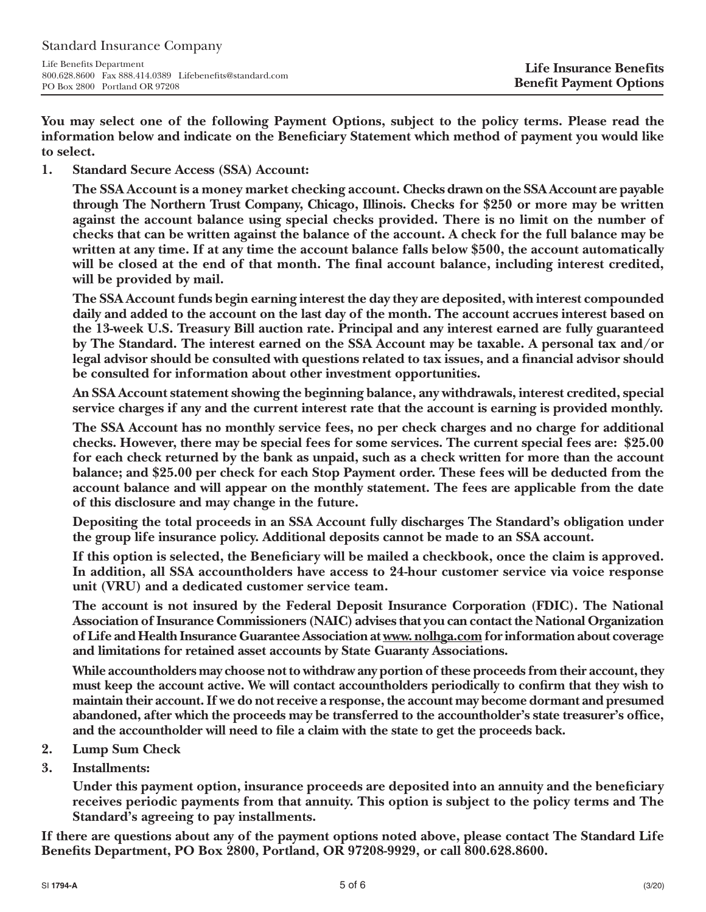**You may select one of the following Payment Options, subject to the policy terms. Please read the information below and indicate on the Beneficiary Statement which method of payment you would like to select.**

**1. Standard Secure Access (SSA) Account:**

**The SSA Account is a money market checking account. Checks drawn on the SSA Account are payable through The Northern Trust Company, Chicago, Illinois. Checks for \$250 or more may be written against the account balance using special checks provided. There is no limit on the number of checks that can be written against the balance of the account. A check for the full balance may be written at any time. If at any time the account balance falls below \$500, the account automatically will be closed at the end of that month. The final account balance, including interest credited, will be provided by mail.**

**The SSA Account funds begin earning interest the day they are deposited, with interest compounded daily and added to the account on the last day of the month. The account accrues interest based on the 13-week U.S. Treasury Bill auction rate. Principal and any interest earned are fully guaranteed by The Standard. The interest earned on the SSA Account may be taxable. A personal tax and/or legal advisor should be consulted with questions related to tax issues, and a financial advisor should be consulted for information about other investment opportunities.**

**An SSA Account statement showing the beginning balance, any withdrawals, interest credited, special service charges if any and the current interest rate that the account is earning is provided monthly.**

**The SSA Account has no monthly service fees, no per check charges and no charge for additional checks. However, there may be special fees for some services. The current special fees are: \$25.00 for each check returned by the bank as unpaid, such as a check written for more than the account balance; and \$25.00 per check for each Stop Payment order. These fees will be deducted from the account balance and will appear on the monthly statement. The fees are applicable from the date of this disclosure and may change in the future.**

**Depositing the total proceeds in an SSA Account fully discharges The Standard's obligation under the group life insurance policy. Additional deposits cannot be made to an SSA account.**

**If this option is selected, the Beneficiary will be mailed a checkbook, once the claim is approved. In addition, all SSA accountholders have access to 24-hour customer service via voice response unit (VRU) and a dedicated customer service team.**

**The account is not insured by the Federal Deposit Insurance Corporation (FDIC). The National Association of Insurance Commissioners (NAIC) advises that you can contact the National Organization of Life and Health Insurance Guarantee Association at www. nolhga.com for information about coverage and limitations for retained asset accounts by State Guaranty Associations.**

**While accountholders may choose not to withdraw any portion of these proceeds from their account, they must keep the account active. We will contact accountholders periodically to confirm that they wish to maintain their account. If we do not receive a response, the account may become dormant and presumed abandoned, after which the proceeds may be transferred to the accountholder's state treasurer's office, and the accountholder will need to file a claim with the state to get the proceeds back.**

- **2. Lump Sum Check**
- **3. Installments:**

**Under this payment option, insurance proceeds are deposited into an annuity and the beneficiary receives periodic payments from that annuity. This option is subject to the policy terms and The Standard's agreeing to pay installments.**

**If there are questions about any of the payment options noted above, please contact The Standard Life Benefits Department, PO Box 2800, Portland, OR 97208-9929, or call 800.628.8600.**